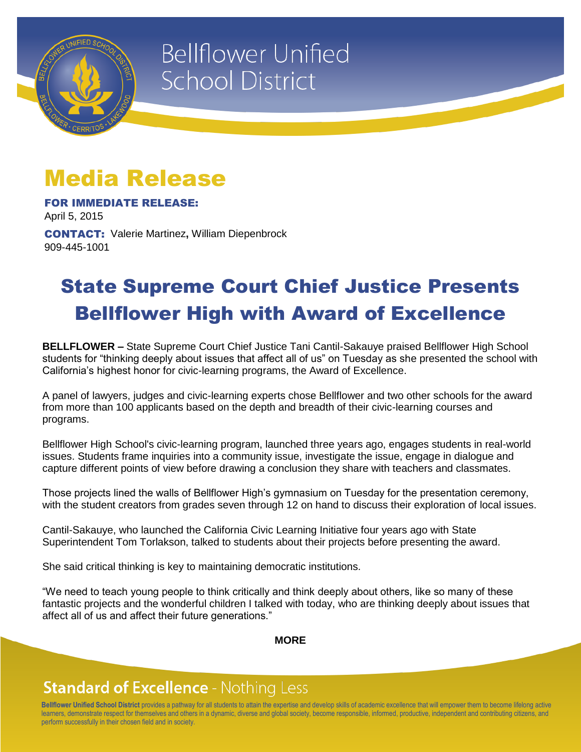

# **Bellflower Unified School District**

## Media Release

FOR IMMEDIATE RELEASE: April 5, 2015

CONTACT: Valerie Martinez**,** William Diepenbrock 909-445-1001

### State Supreme Court Chief Justice Presents Bellflower High with Award of Excellence

**BELLFLOWER –** State Supreme Court Chief Justice Tani Cantil-Sakauye praised Bellflower High School students for "thinking deeply about issues that affect all of us" on Tuesday as she presented the school with California's highest honor for civic-learning programs, the Award of Excellence.

A panel of lawyers, judges and civic-learning experts chose Bellflower and two other schools for the award from more than 100 applicants based on the depth and breadth of their civic-learning courses and programs.

Bellflower High School's civic-learning program, launched three years ago, engages students in real-world issues. Students frame inquiries into a community issue, investigate the issue, engage in dialogue and capture different points of view before drawing a conclusion they share with teachers and classmates.

Those projects lined the walls of Bellflower High's gymnasium on Tuesday for the presentation ceremony, with the student creators from grades seven through 12 on hand to discuss their exploration of local issues.

Cantil-Sakauye, who launched the California Civic Learning Initiative four years ago with State Superintendent Tom Torlakson, talked to students about their projects before presenting the award.

She said critical thinking is key to maintaining democratic institutions.

"We need to teach young people to think critically and think deeply about others, like so many of these fantastic projects and the wonderful children I talked with today, who are thinking deeply about issues that affect all of us and affect their future generations."

**MORE**

### **Standard of Excellence - Nothing Less**

**Bellflower Unified School District** provides a pathway for all students to attain the expertise and develop skills of academic excellence that will empower them to become lifelong active learners, demonstrate respect for themselves and others in a dynamic, diverse and global society, become responsible, informed, productive, independent and contributing citizens, and perform successfully in their chosen field and in society.